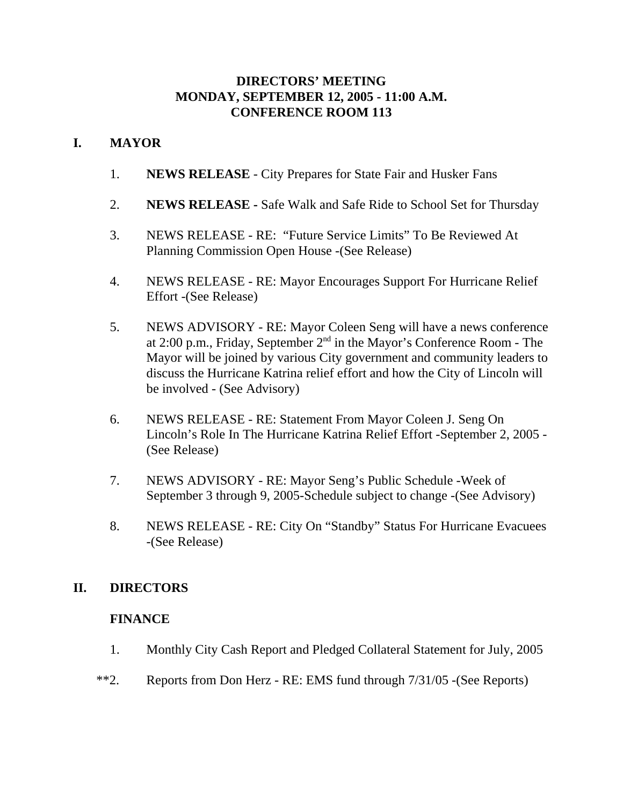### **DIRECTORS' MEETING MONDAY, SEPTEMBER 12, 2005 - 11:00 A.M. CONFERENCE ROOM 113**

## **I. MAYOR**

- 1. **NEWS RELEASE** City Prepares for State Fair and Husker Fans
- 2. **NEWS RELEASE** Safe Walk and Safe Ride to School Set for Thursday
- 3. NEWS RELEASE RE: "Future Service Limits" To Be Reviewed At Planning Commission Open House -(See Release)
- 4. NEWS RELEASE RE: Mayor Encourages Support For Hurricane Relief Effort -(See Release)
- 5. NEWS ADVISORY RE: Mayor Coleen Seng will have a news conference at 2:00 p.m., Friday, September  $2<sup>nd</sup>$  in the Mayor's Conference Room - The Mayor will be joined by various City government and community leaders to discuss the Hurricane Katrina relief effort and how the City of Lincoln will be involved - (See Advisory)
- 6. NEWS RELEASE RE: Statement From Mayor Coleen J. Seng On Lincoln's Role In The Hurricane Katrina Relief Effort -September 2, 2005 - (See Release)
- 7. NEWS ADVISORY RE: Mayor Seng's Public Schedule -Week of September 3 through 9, 2005-Schedule subject to change -(See Advisory)
- 8. NEWS RELEASE RE: City On "Standby" Status For Hurricane Evacuees -(See Release)

### **II. DIRECTORS**

### **FINANCE**

- 1. Monthly City Cash Report and Pledged Collateral Statement for July, 2005
- \*\*2. Reports from Don Herz RE: EMS fund through 7/31/05 -(See Reports)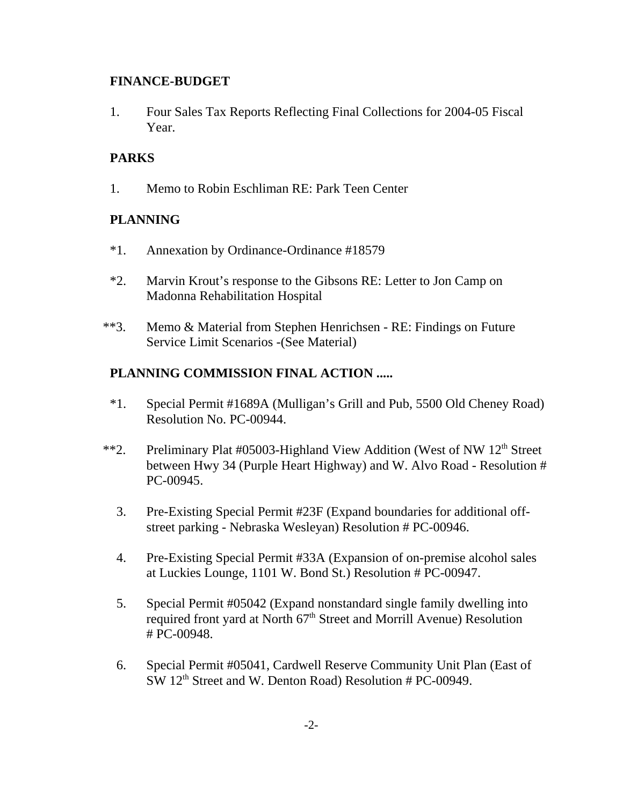#### **FINANCE-BUDGET**

1. Four Sales Tax Reports Reflecting Final Collections for 2004-05 Fiscal Year.

## **PARKS**

1. Memo to Robin Eschliman RE: Park Teen Center

## **PLANNING**

- \*1. Annexation by Ordinance-Ordinance #18579
- \*2. Marvin Krout's response to the Gibsons RE: Letter to Jon Camp on Madonna Rehabilitation Hospital
- \*\*3. Memo & Material from Stephen Henrichsen RE: Findings on Future Service Limit Scenarios -(See Material)

## **PLANNING COMMISSION FINAL ACTION .....**

- \*1. Special Permit #1689A (Mulligan's Grill and Pub, 5500 Old Cheney Road) Resolution No. PC-00944.
- \*\*2. Preliminary Plat #05003-Highland View Addition (West of NW 12<sup>th</sup> Street between Hwy 34 (Purple Heart Highway) and W. Alvo Road - Resolution # PC-00945.
	- 3. Pre-Existing Special Permit #23F (Expand boundaries for additional offstreet parking - Nebraska Wesleyan) Resolution # PC-00946.
	- 4. Pre-Existing Special Permit #33A (Expansion of on-premise alcohol sales at Luckies Lounge, 1101 W. Bond St.) Resolution # PC-00947.
	- 5. Special Permit #05042 (Expand nonstandard single family dwelling into required front yard at North 67<sup>th</sup> Street and Morrill Avenue) Resolution # PC-00948.
	- 6. Special Permit #05041, Cardwell Reserve Community Unit Plan (East of SW 12<sup>th</sup> Street and W. Denton Road) Resolution # PC-00949.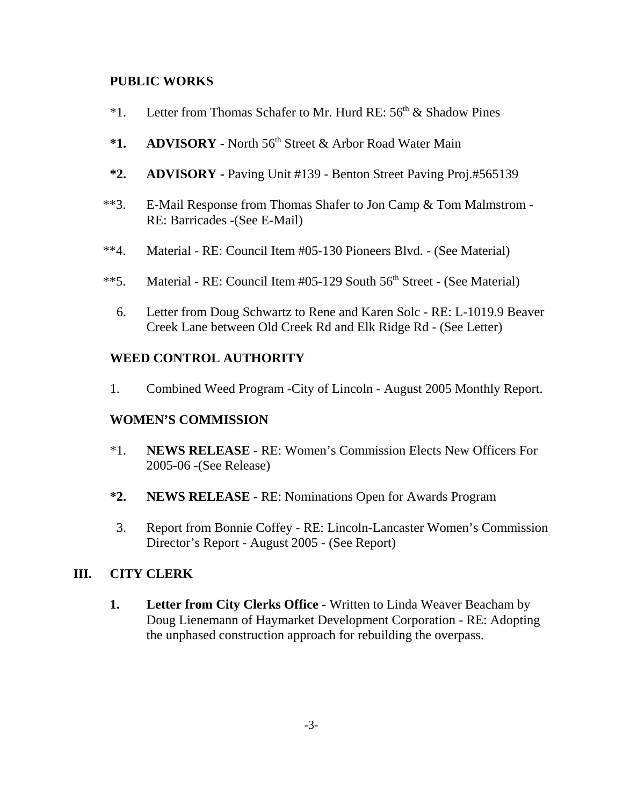#### **PUBLIC WORKS**

- \*1. Letter from Thomas Schafer to Mr. Hurd RE:  $56<sup>th</sup>$  & Shadow Pines
- \*1. ADVISORY North 56<sup>th</sup> Street & Arbor Road Water Main
- **\*2. ADVISORY** Paving Unit #139 Benton Street Paving Proj.#565139
- \*\*3. E-Mail Response from Thomas Shafer to Jon Camp & Tom Malmstrom RE: Barricades -(See E-Mail)
- \*\*4. Material RE: Council Item #05-130 Pioneers Blvd. (See Material)
- \*\*5. Material RE: Council Item  $#05-129$  South  $56<sup>th</sup>$  Street (See Material)
	- 6. Letter from Doug Schwartz to Rene and Karen Solc RE: L-1019.9 Beaver Creek Lane between Old Creek Rd and Elk Ridge Rd - (See Letter)

### **WEED CONTROL AUTHORITY**

1. Combined Weed Program -City of Lincoln - August 2005 Monthly Report.

### **WOMEN'S COMMISSION**

- \*1. **NEWS RELEASE**  RE: Women's Commission Elects New Officers For 2005-06 -(See Release)
- **\*2. NEWS RELEASE -** RE: Nominations Open for Awards Program
- 3. Report from Bonnie Coffey RE: Lincoln-Lancaster Women's Commission Director's Report - August 2005 - (See Report)

### **III. CITY CLERK**

**1. Letter from City Clerks Office -** Written to Linda Weaver Beacham by Doug Lienemann of Haymarket Development Corporation - RE: Adopting the unphased construction approach for rebuilding the overpass.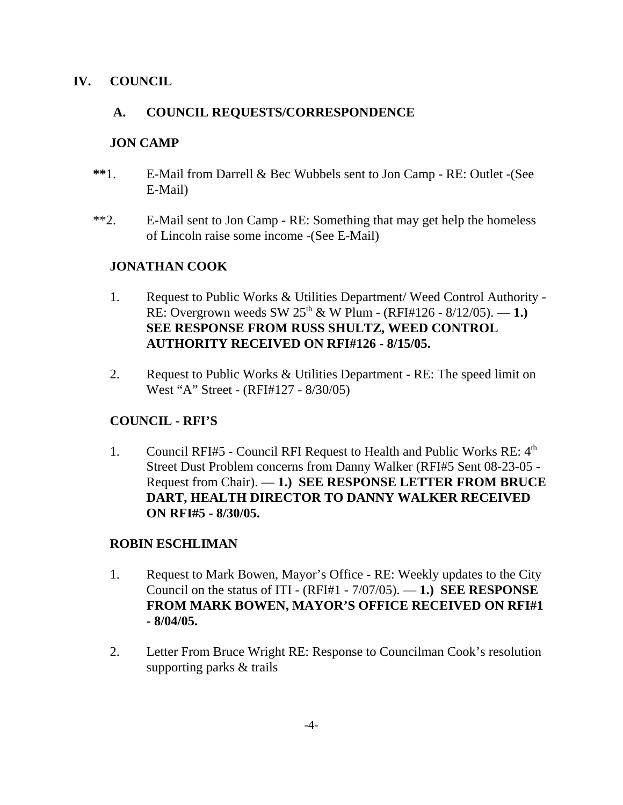### **IV. COUNCIL**

## **A. COUNCIL REQUESTS/CORRESPONDENCE**

### **JON CAMP**

- **\*\***1. E-Mail from Darrell & Bec Wubbels sent to Jon Camp RE: Outlet -(See E-Mail)
- \*\*2. E-Mail sent to Jon Camp RE: Something that may get help the homeless of Lincoln raise some income -(See E-Mail)

## **JONATHAN COOK**

- 1. Request to Public Works & Utilities Department/ Weed Control Authority RE: Overgrown weeds SW  $25^{th}$  & W Plum - (RFI#126 - 8/12/05). — 1.) **SEE RESPONSE FROM RUSS SHULTZ, WEED CONTROL AUTHORITY RECEIVED ON RFI#126 - 8/15/05.**
- 2. Request to Public Works & Utilities Department RE: The speed limit on West "A" Street - (RFI#127 - 8/30/05)

## **COUNCIL - RFI'S**

1. Council RFI#5 - Council RFI Request to Health and Public Works RE:  $4<sup>th</sup>$ Street Dust Problem concerns from Danny Walker (RFI#5 Sent 08-23-05 - Request from Chair). — **1.) SEE RESPONSE LETTER FROM BRUCE DART, HEALTH DIRECTOR TO DANNY WALKER RECEIVED ON RFI#5 - 8/30/05.** 

### **ROBIN ESCHLIMAN**

- 1. Request to Mark Bowen, Mayor's Office RE: Weekly updates to the City Council on the status of ITI - (RFI#1 - 7/07/05). — **1.) SEE RESPONSE FROM MARK BOWEN, MAYOR'S OFFICE RECEIVED ON RFI#1 - 8/04/05.**
- 2. Letter From Bruce Wright RE: Response to Councilman Cook's resolution supporting parks & trails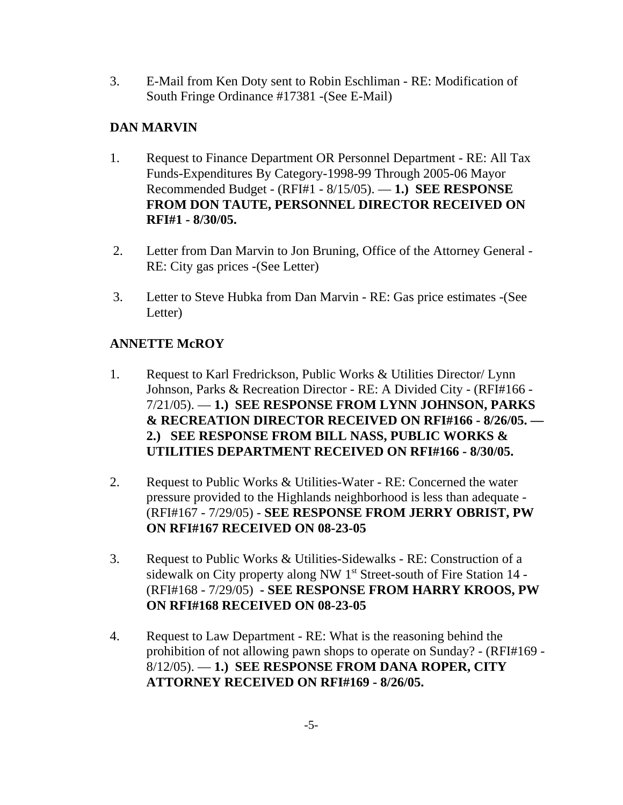3. E-Mail from Ken Doty sent to Robin Eschliman - RE: Modification of South Fringe Ordinance #17381 -(See E-Mail)

# **DAN MARVIN**

- 1. Request to Finance Department OR Personnel Department RE: All Tax Funds-Expenditures By Category-1998-99 Through 2005-06 Mayor Recommended Budget - (RFI#1 - 8/15/05). — **1.) SEE RESPONSE FROM DON TAUTE, PERSONNEL DIRECTOR RECEIVED ON RFI#1 - 8/30/05.**
- 2. Letter from Dan Marvin to Jon Bruning, Office of the Attorney General RE: City gas prices -(See Letter)
- 3. Letter to Steve Hubka from Dan Marvin RE: Gas price estimates -(See Letter)

# **ANNETTE McROY**

- 1. Request to Karl Fredrickson, Public Works & Utilities Director/ Lynn Johnson, Parks & Recreation Director - RE: A Divided City - (RFI#166 - 7/21/05). — **1.) SEE RESPONSE FROM LYNN JOHNSON, PARKS & RECREATION DIRECTOR RECEIVED ON RFI#166 - 8/26/05. — 2.) SEE RESPONSE FROM BILL NASS, PUBLIC WORKS & UTILITIES DEPARTMENT RECEIVED ON RFI#166 - 8/30/05.**
- 2. Request to Public Works & Utilities-Water RE: Concerned the water pressure provided to the Highlands neighborhood is less than adequate - (RFI#167 - 7/29/05) - **SEE RESPONSE FROM JERRY OBRIST, PW ON RFI#167 RECEIVED ON 08-23-05**
- 3. Request to Public Works & Utilities-Sidewalks RE: Construction of a sidewalk on City property along NW 1<sup>st</sup> Street-south of Fire Station 14 -(RFI#168 - 7/29/05) **- SEE RESPONSE FROM HARRY KROOS, PW ON RFI#168 RECEIVED ON 08-23-05**
- 4. Request to Law Department RE: What is the reasoning behind the prohibition of not allowing pawn shops to operate on Sunday? - (RFI#169 - 8/12/05). — **1.) SEE RESPONSE FROM DANA ROPER, CITY ATTORNEY RECEIVED ON RFI#169 - 8/26/05.**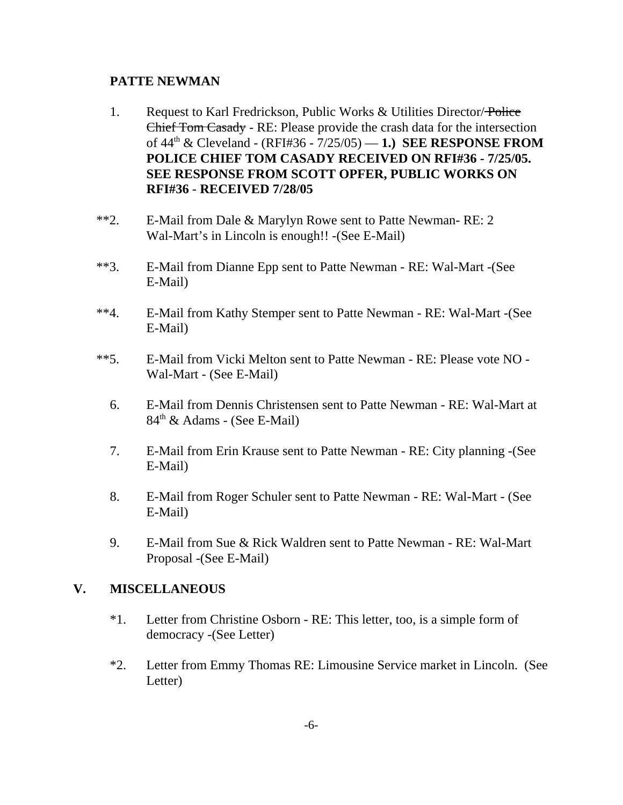#### **PATTE NEWMAN**

- 1. Request to Karl Fredrickson, Public Works & Utilities Director/Police Chief Tom Casady - RE: Please provide the crash data for the intersection of 44th & Cleveland - (RFI#36 - 7/25/05) — **1.) SEE RESPONSE FROM POLICE CHIEF TOM CASADY RECEIVED ON RFI#36 - 7/25/05. SEE RESPONSE FROM SCOTT OPFER, PUBLIC WORKS ON RFI#36** - **RECEIVED 7/28/05**
- \*\*2. E-Mail from Dale & Marylyn Rowe sent to Patte Newman- RE: 2 Wal-Mart's in Lincoln is enough!! -(See E-Mail)
- \*\*3. E-Mail from Dianne Epp sent to Patte Newman RE: Wal-Mart -(See E-Mail)
- \*\*4. E-Mail from Kathy Stemper sent to Patte Newman RE: Wal-Mart -(See E-Mail)
- \*\*5. E-Mail from Vicki Melton sent to Patte Newman RE: Please vote NO Wal-Mart - (See E-Mail)
	- 6. E-Mail from Dennis Christensen sent to Patte Newman RE: Wal-Mart at  $84<sup>th</sup>$  & Adams - (See E-Mail)
	- 7. E-Mail from Erin Krause sent to Patte Newman RE: City planning -(See E-Mail)
	- 8. E-Mail from Roger Schuler sent to Patte Newman RE: Wal-Mart (See E-Mail)
	- 9. E-Mail from Sue & Rick Waldren sent to Patte Newman RE: Wal-Mart Proposal -(See E-Mail)

### **V. MISCELLANEOUS**

- \*1. Letter from Christine Osborn RE: This letter, too, is a simple form of democracy -(See Letter)
- \*2. Letter from Emmy Thomas RE: Limousine Service market in Lincoln. (See Letter)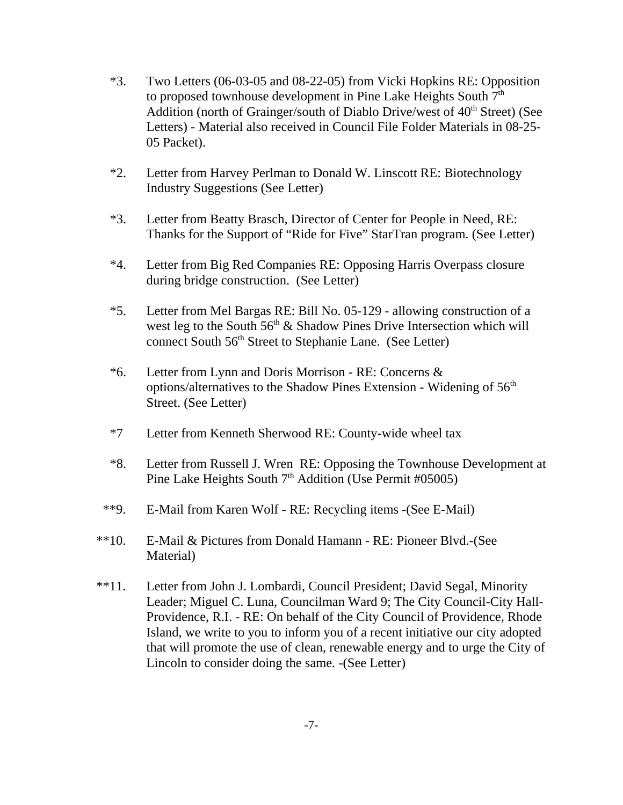- \*3. Two Letters (06-03-05 and 08-22-05) from Vicki Hopkins RE: Opposition to proposed townhouse development in Pine Lake Heights South 7<sup>th</sup> Addition (north of Grainger/south of Diablo Drive/west of  $40<sup>th</sup>$  Street) (See Letters) - Material also received in Council File Folder Materials in 08-25- 05 Packet).
- \*2. Letter from Harvey Perlman to Donald W. Linscott RE: Biotechnology Industry Suggestions (See Letter)
- \*3. Letter from Beatty Brasch, Director of Center for People in Need, RE: Thanks for the Support of "Ride for Five" StarTran program. (See Letter)
- \*4. Letter from Big Red Companies RE: Opposing Harris Overpass closure during bridge construction. (See Letter)
- \*5. Letter from Mel Bargas RE: Bill No. 05-129 allowing construction of a west leg to the South  $56<sup>th</sup>$  & Shadow Pines Drive Intersection which will connect South 56<sup>th</sup> Street to Stephanie Lane. (See Letter)
- \*6. Letter from Lynn and Doris Morrison RE: Concerns & options/alternatives to the Shadow Pines Extension - Widening of 56<sup>th</sup> Street. (See Letter)
- \*7 Letter from Kenneth Sherwood RE: County-wide wheel tax
- \*8. Letter from Russell J. Wren RE: Opposing the Townhouse Development at Pine Lake Heights South  $7<sup>th</sup>$  Addition (Use Permit #05005)
- \*\*9. E-Mail from Karen Wolf RE: Recycling items -(See E-Mail)
- \*\*10. E-Mail & Pictures from Donald Hamann RE: Pioneer Blvd.-(See Material)
- \*\*11. Letter from John J. Lombardi, Council President; David Segal, Minority Leader; Miguel C. Luna, Councilman Ward 9; The City Council-City Hall-Providence, R.I. - RE: On behalf of the City Council of Providence, Rhode Island, we write to you to inform you of a recent initiative our city adopted that will promote the use of clean, renewable energy and to urge the City of Lincoln to consider doing the same. -(See Letter)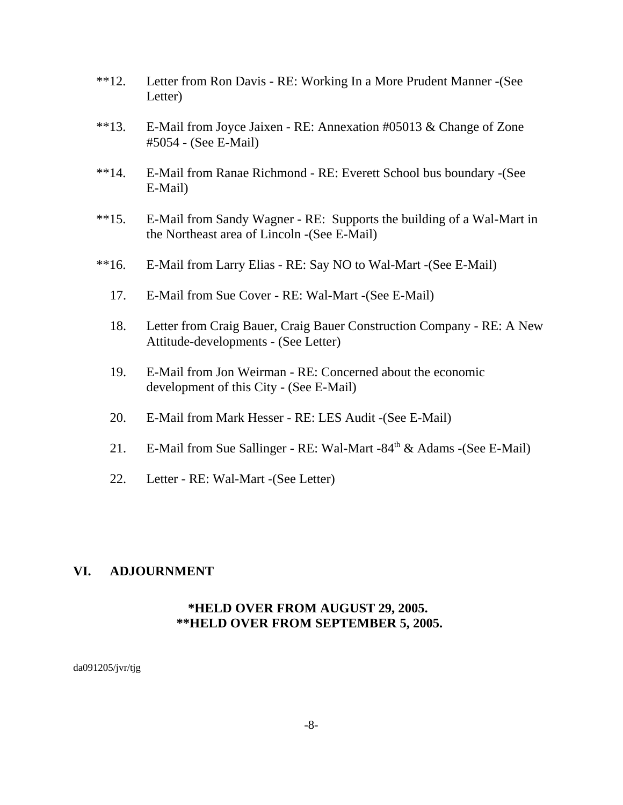- \*\*12. Letter from Ron Davis RE: Working In a More Prudent Manner -(See Letter)
- \*\*13. E-Mail from Joyce Jaixen RE: Annexation #05013 & Change of Zone #5054 - (See E-Mail)
- \*\*14. E-Mail from Ranae Richmond RE: Everett School bus boundary -(See E-Mail)
- \*\*15. E-Mail from Sandy Wagner RE: Supports the building of a Wal-Mart in the Northeast area of Lincoln -(See E-Mail)
- \*\*16. E-Mail from Larry Elias RE: Say NO to Wal-Mart -(See E-Mail)
	- 17. E-Mail from Sue Cover RE: Wal-Mart -(See E-Mail)
	- 18. Letter from Craig Bauer, Craig Bauer Construction Company RE: A New Attitude-developments - (See Letter)
	- 19. E-Mail from Jon Weirman RE: Concerned about the economic development of this City - (See E-Mail)
	- 20. E-Mail from Mark Hesser RE: LES Audit -(See E-Mail)
	- 21. E-Mail from Sue Sallinger RE: Wal-Mart -84<sup>th</sup> & Adams -(See E-Mail)
	- 22. Letter RE: Wal-Mart -(See Letter)

#### **VI. ADJOURNMENT**

### **\*HELD OVER FROM AUGUST 29, 2005. \*\*HELD OVER FROM SEPTEMBER 5, 2005.**

da091205/jvr/tjg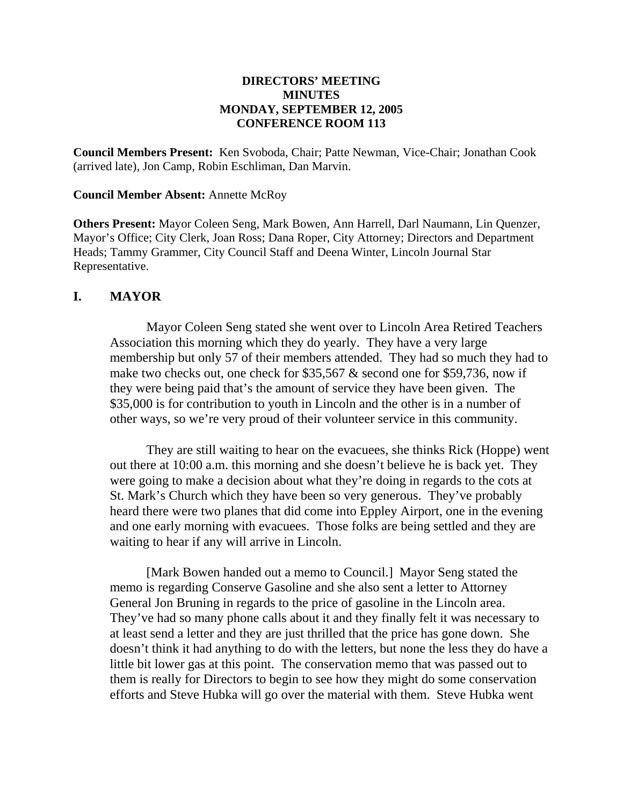#### **DIRECTORS' MEETING MINUTES MONDAY, SEPTEMBER 12, 2005 CONFERENCE ROOM 113**

**Council Members Present:** Ken Svoboda, Chair; Patte Newman, Vice-Chair; Jonathan Cook (arrived late), Jon Camp, Robin Eschliman, Dan Marvin.

#### **Council Member Absent:** Annette McRoy

**Others Present:** Mayor Coleen Seng, Mark Bowen, Ann Harrell, Darl Naumann, Lin Quenzer, Mayor's Office; City Clerk, Joan Ross; Dana Roper, City Attorney; Directors and Department Heads; Tammy Grammer, City Council Staff and Deena Winter, Lincoln Journal Star Representative.

#### **I. MAYOR**

Mayor Coleen Seng stated she went over to Lincoln Area Retired Teachers Association this morning which they do yearly. They have a very large membership but only 57 of their members attended. They had so much they had to make two checks out, one check for \$35,567 & second one for \$59,736, now if they were being paid that's the amount of service they have been given. The \$35,000 is for contribution to youth in Lincoln and the other is in a number of other ways, so we're very proud of their volunteer service in this community.

They are still waiting to hear on the evacuees, she thinks Rick (Hoppe) went out there at 10:00 a.m. this morning and she doesn't believe he is back yet. They were going to make a decision about what they're doing in regards to the cots at St. Mark's Church which they have been so very generous. They've probably heard there were two planes that did come into Eppley Airport, one in the evening and one early morning with evacuees. Those folks are being settled and they are waiting to hear if any will arrive in Lincoln.

[Mark Bowen handed out a memo to Council.] Mayor Seng stated the memo is regarding Conserve Gasoline and she also sent a letter to Attorney General Jon Bruning in regards to the price of gasoline in the Lincoln area. They've had so many phone calls about it and they finally felt it was necessary to at least send a letter and they are just thrilled that the price has gone down. She doesn't think it had anything to do with the letters, but none the less they do have a little bit lower gas at this point. The conservation memo that was passed out to them is really for Directors to begin to see how they might do some conservation efforts and Steve Hubka will go over the material with them. Steve Hubka went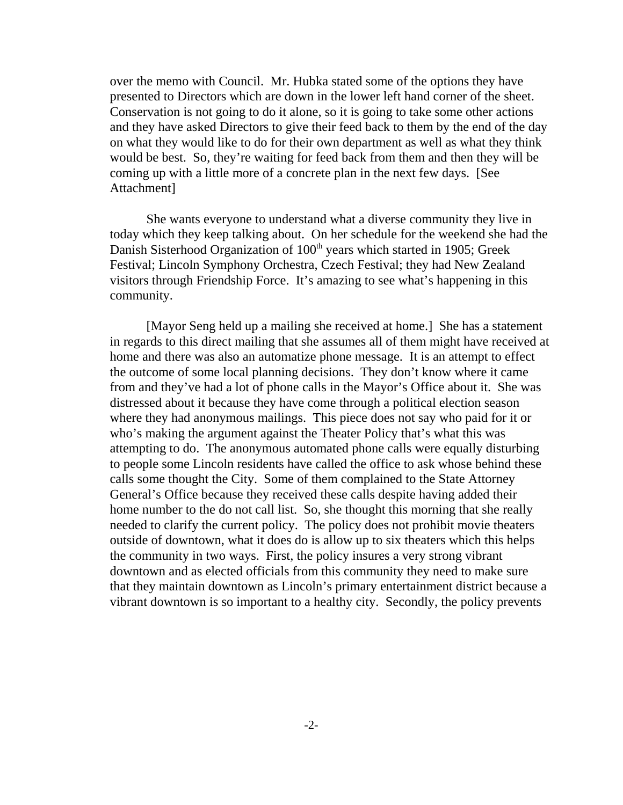over the memo with Council. Mr. Hubka stated some of the options they have presented to Directors which are down in the lower left hand corner of the sheet. Conservation is not going to do it alone, so it is going to take some other actions and they have asked Directors to give their feed back to them by the end of the day on what they would like to do for their own department as well as what they think would be best. So, they're waiting for feed back from them and then they will be coming up with a little more of a concrete plan in the next few days. [See Attachment]

She wants everyone to understand what a diverse community they live in today which they keep talking about. On her schedule for the weekend she had the Danish Sisterhood Organization of 100<sup>th</sup> years which started in 1905; Greek Festival; Lincoln Symphony Orchestra, Czech Festival; they had New Zealand visitors through Friendship Force. It's amazing to see what's happening in this community.

[Mayor Seng held up a mailing she received at home.] She has a statement in regards to this direct mailing that she assumes all of them might have received at home and there was also an automatize phone message. It is an attempt to effect the outcome of some local planning decisions. They don't know where it came from and they've had a lot of phone calls in the Mayor's Office about it. She was distressed about it because they have come through a political election season where they had anonymous mailings. This piece does not say who paid for it or who's making the argument against the Theater Policy that's what this was attempting to do. The anonymous automated phone calls were equally disturbing to people some Lincoln residents have called the office to ask whose behind these calls some thought the City. Some of them complained to the State Attorney General's Office because they received these calls despite having added their home number to the do not call list. So, she thought this morning that she really needed to clarify the current policy. The policy does not prohibit movie theaters outside of downtown, what it does do is allow up to six theaters which this helps the community in two ways. First, the policy insures a very strong vibrant downtown and as elected officials from this community they need to make sure that they maintain downtown as Lincoln's primary entertainment district because a vibrant downtown is so important to a healthy city. Secondly, the policy prevents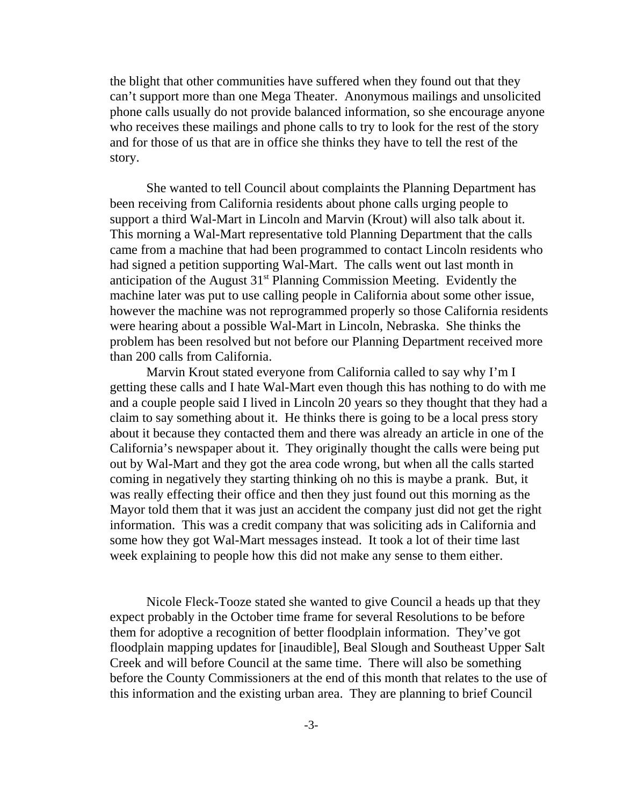the blight that other communities have suffered when they found out that they can't support more than one Mega Theater. Anonymous mailings and unsolicited phone calls usually do not provide balanced information, so she encourage anyone who receives these mailings and phone calls to try to look for the rest of the story and for those of us that are in office she thinks they have to tell the rest of the story.

She wanted to tell Council about complaints the Planning Department has been receiving from California residents about phone calls urging people to support a third Wal-Mart in Lincoln and Marvin (Krout) will also talk about it. This morning a Wal-Mart representative told Planning Department that the calls came from a machine that had been programmed to contact Lincoln residents who had signed a petition supporting Wal-Mart. The calls went out last month in anticipation of the August  $31<sup>st</sup>$  Planning Commission Meeting. Evidently the machine later was put to use calling people in California about some other issue, however the machine was not reprogrammed properly so those California residents were hearing about a possible Wal-Mart in Lincoln, Nebraska. She thinks the problem has been resolved but not before our Planning Department received more than 200 calls from California.

Marvin Krout stated everyone from California called to say why I'm I getting these calls and I hate Wal-Mart even though this has nothing to do with me and a couple people said I lived in Lincoln 20 years so they thought that they had a claim to say something about it. He thinks there is going to be a local press story about it because they contacted them and there was already an article in one of the California's newspaper about it. They originally thought the calls were being put out by Wal-Mart and they got the area code wrong, but when all the calls started coming in negatively they starting thinking oh no this is maybe a prank. But, it was really effecting their office and then they just found out this morning as the Mayor told them that it was just an accident the company just did not get the right information. This was a credit company that was soliciting ads in California and some how they got Wal-Mart messages instead. It took a lot of their time last week explaining to people how this did not make any sense to them either.

Nicole Fleck-Tooze stated she wanted to give Council a heads up that they expect probably in the October time frame for several Resolutions to be before them for adoptive a recognition of better floodplain information. They've got floodplain mapping updates for [inaudible], Beal Slough and Southeast Upper Salt Creek and will before Council at the same time. There will also be something before the County Commissioners at the end of this month that relates to the use of this information and the existing urban area. They are planning to brief Council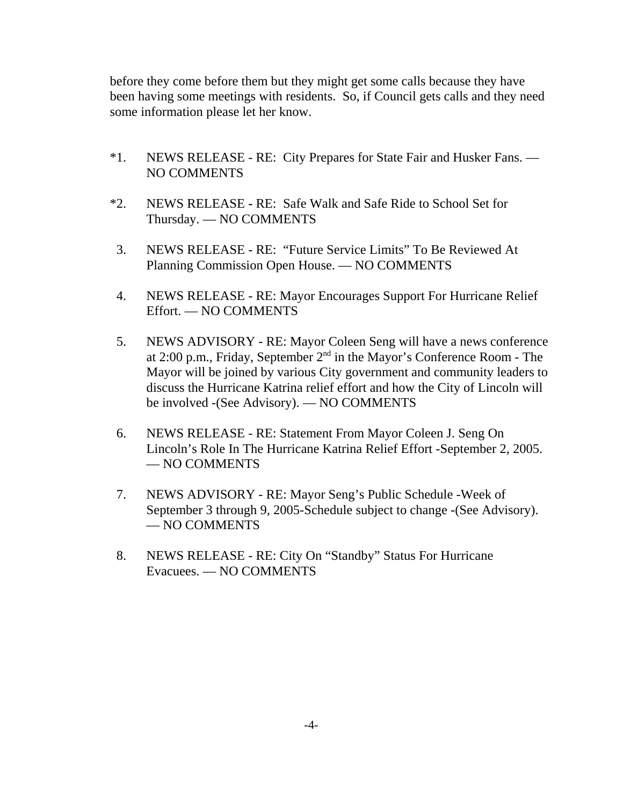before they come before them but they might get some calls because they have been having some meetings with residents. So, if Council gets calls and they need some information please let her know.

- \*1. NEWS RELEASE RE: City Prepares for State Fair and Husker Fans. NO COMMENTS
- \*2. NEWS RELEASERE: Safe Walk and Safe Ride to School Set for Thursday. — NO COMMENTS
- 3. NEWS RELEASE RE: "Future Service Limits" To Be Reviewed At Planning Commission Open House. — NO COMMENTS
- 4. NEWS RELEASE RE: Mayor Encourages Support For Hurricane Relief Effort. — NO COMMENTS
- 5. NEWS ADVISORY RE: Mayor Coleen Seng will have a news conference at 2:00 p.m., Friday, September 2nd in the Mayor's Conference Room - The Mayor will be joined by various City government and community leaders to discuss the Hurricane Katrina relief effort and how the City of Lincoln will be involved -(See Advisory). — NO COMMENTS
- 6. NEWS RELEASE RE: Statement From Mayor Coleen J. Seng On Lincoln's Role In The Hurricane Katrina Relief Effort -September 2, 2005. — NO COMMENTS
- 7. NEWS ADVISORY RE: Mayor Seng's Public Schedule -Week of September 3 through 9, 2005-Schedule subject to change -(See Advisory). — NO COMMENTS
- 8. NEWS RELEASE RE: City On "Standby" Status For Hurricane Evacuees. — NO COMMENTS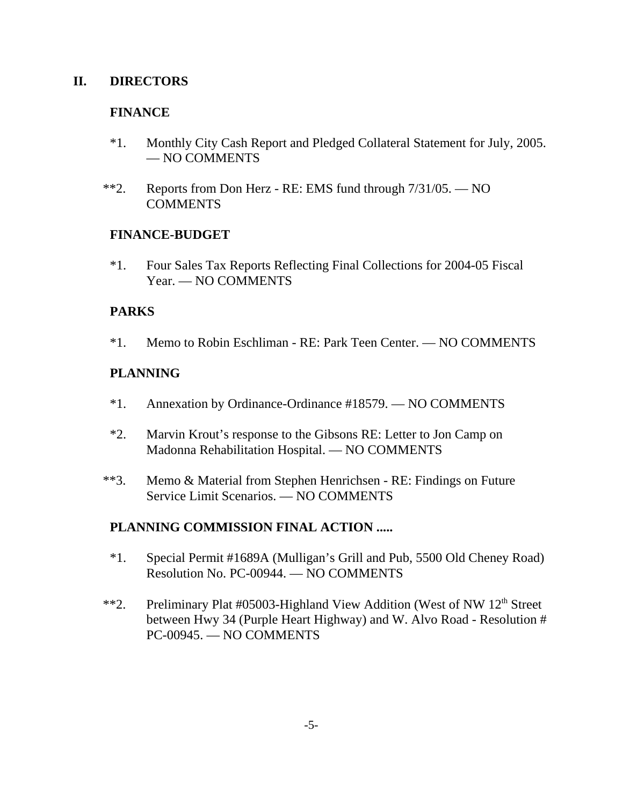#### **II. DIRECTORS**

#### **FINANCE**

- \*1. Monthly City Cash Report and Pledged Collateral Statement for July, 2005. — NO COMMENTS
- \*\*2. Reports from Don Herz RE: EMS fund through 7/31/05. NO COMMENTS

#### **FINANCE-BUDGET**

\*1. Four Sales Tax Reports Reflecting Final Collections for 2004-05 Fiscal Year. — NO COMMENTS

### **PARKS**

\*1. Memo to Robin Eschliman - RE: Park Teen Center. — NO COMMENTS

### **PLANNING**

- \*1. Annexation by Ordinance-Ordinance #18579. NO COMMENTS
- \*2. Marvin Krout's response to the Gibsons RE: Letter to Jon Camp on Madonna Rehabilitation Hospital. — NO COMMENTS
- \*\*3. Memo & Material from Stephen Henrichsen RE: Findings on Future Service Limit Scenarios. — NO COMMENTS

### **PLANNING COMMISSION FINAL ACTION .....**

- \*1. Special Permit #1689A (Mulligan's Grill and Pub, 5500 Old Cheney Road) Resolution No. PC-00944. — NO COMMENTS
- \*\*2. Preliminary Plat #05003-Highland View Addition (West of NW 12<sup>th</sup> Street between Hwy 34 (Purple Heart Highway) and W. Alvo Road - Resolution # PC-00945. — NO COMMENTS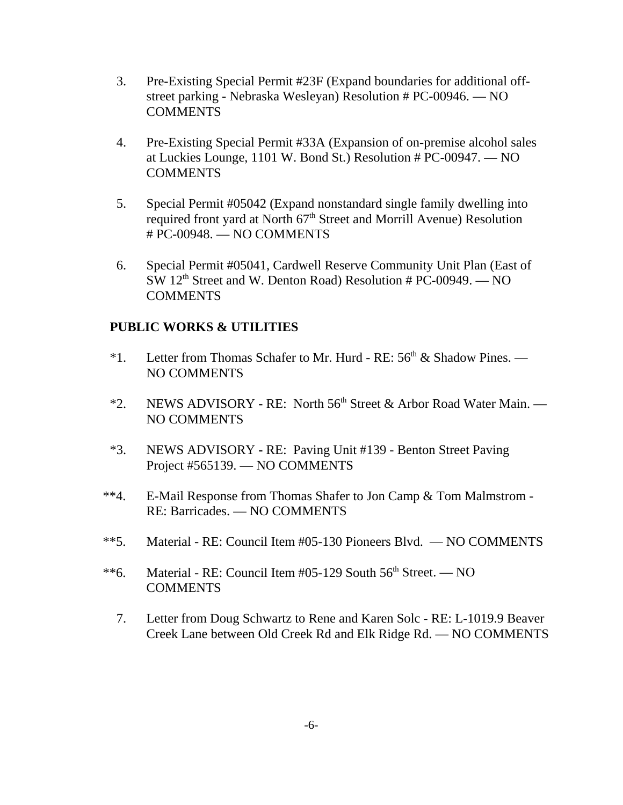- 3. Pre-Existing Special Permit #23F (Expand boundaries for additional offstreet parking - Nebraska Wesleyan) Resolution # PC-00946. — NO **COMMENTS**
- 4. Pre-Existing Special Permit #33A (Expansion of on-premise alcohol sales at Luckies Lounge, 1101 W. Bond St.) Resolution # PC-00947. — NO COMMENTS
- 5. Special Permit #05042 (Expand nonstandard single family dwelling into required front yard at North 67<sup>th</sup> Street and Morrill Avenue) Resolution # PC-00948. — NO COMMENTS
- 6. Special Permit #05041, Cardwell Reserve Community Unit Plan (East of  $SW 12<sup>th</sup>$  Street and W. Denton Road) Resolution # PC-00949. — NO **COMMENTS**

#### **PUBLIC WORKS & UTILITIES**

- \*1. Letter from Thomas Schafer to Mr. Hurd RE:  $56<sup>th</sup>$  & Shadow Pines. NO COMMENTS
- \*2. NEWS ADVISORYRE: North 56th Street & Arbor Road Water Main. NO COMMENTS
- \*3. NEWS ADVISORY RE: Paving Unit #139 Benton Street Paving Project #565139. — NO COMMENTS
- \*\*4. E-Mail Response from Thomas Shafer to Jon Camp & Tom Malmstrom RE: Barricades. — NO COMMENTS
- \*\*5. Material RE: Council Item #05-130 Pioneers Blvd. NO COMMENTS
- \*\*6. Material RE: Council Item  $#05-129$  South  $56<sup>th</sup>$  Street. NO **COMMENTS** 
	- 7. Letter from Doug Schwartz to Rene and Karen Solc RE: L-1019.9 Beaver Creek Lane between Old Creek Rd and Elk Ridge Rd. — NO COMMENTS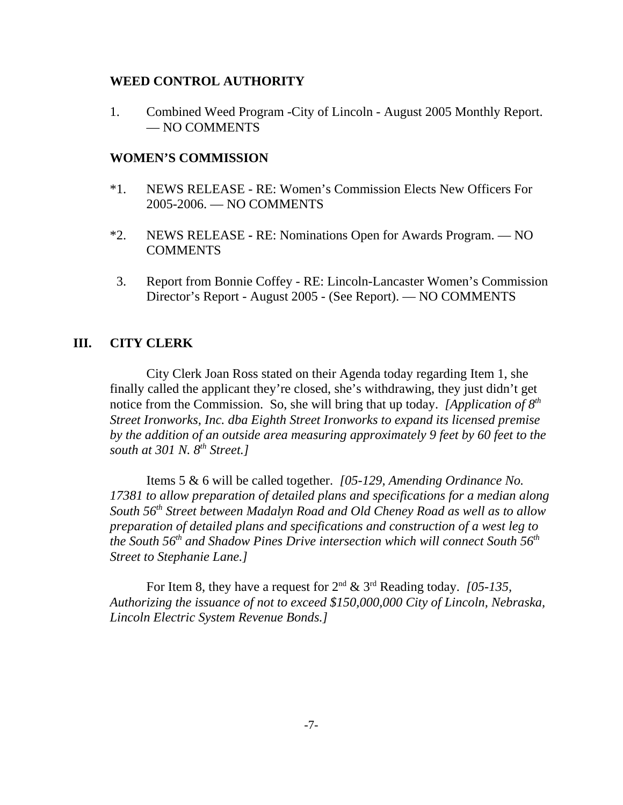#### **WEED CONTROL AUTHORITY**

1. Combined Weed Program -City of Lincoln - August 2005 Monthly Report. — NO COMMENTS

#### **WOMEN'S COMMISSION**

- \*1. NEWS RELEASE RE: Women's Commission Elects New Officers For 2005-2006. — NO COMMENTS
- \*2. NEWS RELEASE **-** RE: Nominations Open for Awards Program. NO COMMENTS
- 3. Report from Bonnie Coffey RE: Lincoln-Lancaster Women's Commission Director's Report - August 2005 - (See Report). — NO COMMENTS

#### **III. CITY CLERK**

City Clerk Joan Ross stated on their Agenda today regarding Item 1, she finally called the applicant they're closed, she's withdrawing, they just didn't get notice from the Commission. So, she will bring that up today. *[Application of 8th Street Ironworks, Inc. dba Eighth Street Ironworks to expand its licensed premise by the addition of an outside area measuring approximately 9 feet by 60 feet to the south at 301 N. 8th Street.]* 

Items 5 & 6 will be called together. *[05-129, Amending Ordinance No. 17381 to allow preparation of detailed plans and specifications for a median along South 56th Street between Madalyn Road and Old Cheney Road as well as to allow preparation of detailed plans and specifications and construction of a west leg to the South 56th and Shadow Pines Drive intersection which will connect South 56th Street to Stephanie Lane.]* 

For Item 8, they have a request for 2nd & 3rd Reading today. *[05-135, Authorizing the issuance of not to exceed \$150,000,000 City of Lincoln, Nebraska, Lincoln Electric System Revenue Bonds.]*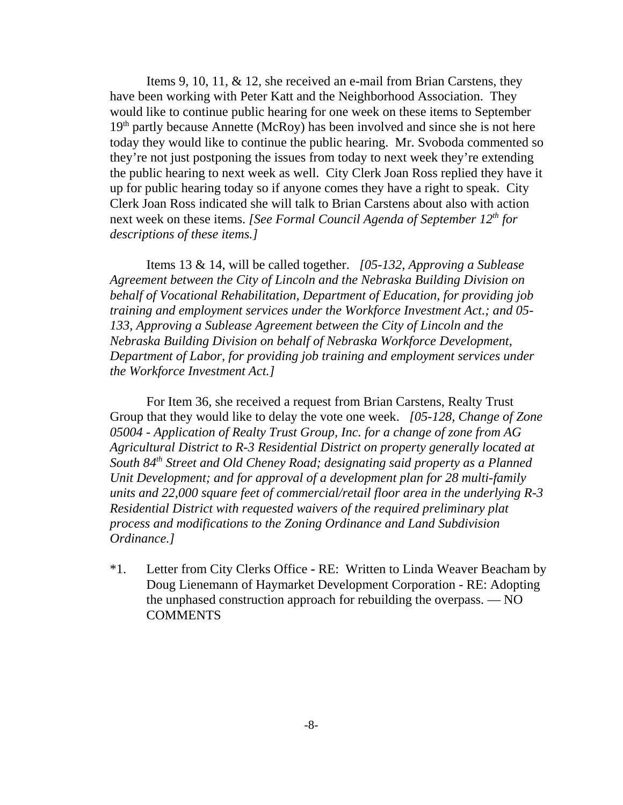Items 9, 10, 11, & 12, she received an e-mail from Brian Carstens, they have been working with Peter Katt and the Neighborhood Association. They would like to continue public hearing for one week on these items to September  $19<sup>th</sup>$  partly because Annette (McRoy) has been involved and since she is not here today they would like to continue the public hearing. Mr. Svoboda commented so they're not just postponing the issues from today to next week they're extending the public hearing to next week as well. City Clerk Joan Ross replied they have it up for public hearing today so if anyone comes they have a right to speak. City Clerk Joan Ross indicated she will talk to Brian Carstens about also with action next week on these items. *[See Formal Council Agenda of September 12<sup>th</sup> for descriptions of these items.]* 

Items 13 & 14, will be called together. *[05-132, Approving a Sublease Agreement between the City of Lincoln and the Nebraska Building Division on behalf of Vocational Rehabilitation, Department of Education, for providing job training and employment services under the Workforce Investment Act.; and 05- 133, Approving a Sublease Agreement between the City of Lincoln and the Nebraska Building Division on behalf of Nebraska Workforce Development, Department of Labor, for providing job training and employment services under the Workforce Investment Act.]* 

For Item 36, she received a request from Brian Carstens, Realty Trust Group that they would like to delay the vote one week. *[05-128, Change of Zone 05004 - Application of Realty Trust Group, Inc. for a change of zone from AG Agricultural District to R-3 Residential District on property generally located at South 84th Street and Old Cheney Road; designating said property as a Planned Unit Development; and for approval of a development plan for 28 multi-family units and 22,000 square feet of commercial/retail floor area in the underlying R-3 Residential District with requested waivers of the required preliminary plat process and modifications to the Zoning Ordinance and Land Subdivision Ordinance.]* 

\*1. Letter from City Clerks Office **-** RE: Written to Linda Weaver Beacham by Doug Lienemann of Haymarket Development Corporation - RE: Adopting the unphased construction approach for rebuilding the overpass. — NO COMMENTS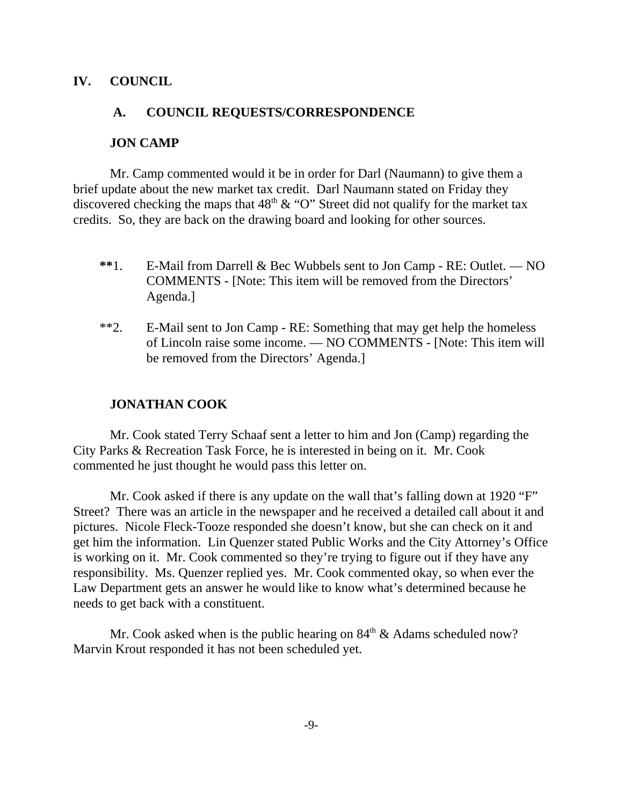#### **IV. COUNCIL**

#### **A. COUNCIL REQUESTS/CORRESPONDENCE**

#### **JON CAMP**

Mr. Camp commented would it be in order for Darl (Naumann) to give them a brief update about the new market tax credit. Darl Naumann stated on Friday they discovered checking the maps that  $48<sup>th</sup>$  & "O" Street did not qualify for the market tax credits. So, they are back on the drawing board and looking for other sources.

- **\*\***1. E-Mail from Darrell & Bec Wubbels sent to Jon Camp RE: Outlet. NO COMMENTS - [Note: This item will be removed from the Directors' Agenda.]
- \*\*2. E-Mail sent to Jon Camp RE: Something that may get help the homeless of Lincoln raise some income. — NO COMMENTS - [Note: This item will be removed from the Directors' Agenda.]

#### **JONATHAN COOK**

Mr. Cook stated Terry Schaaf sent a letter to him and Jon (Camp) regarding the City Parks & Recreation Task Force, he is interested in being on it. Mr. Cook commented he just thought he would pass this letter on.

Mr. Cook asked if there is any update on the wall that's falling down at 1920 "F" Street? There was an article in the newspaper and he received a detailed call about it and pictures. Nicole Fleck-Tooze responded she doesn't know, but she can check on it and get him the information. Lin Quenzer stated Public Works and the City Attorney's Office is working on it. Mr. Cook commented so they're trying to figure out if they have any responsibility. Ms. Quenzer replied yes. Mr. Cook commented okay, so when ever the Law Department gets an answer he would like to know what's determined because he needs to get back with a constituent.

Mr. Cook asked when is the public hearing on  $84<sup>th</sup>$  & Adams scheduled now? Marvin Krout responded it has not been scheduled yet.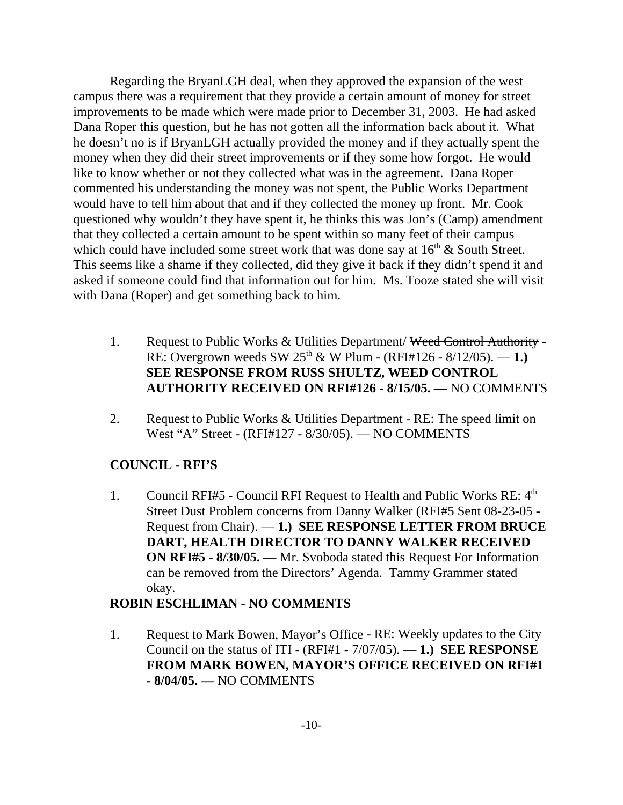Regarding the BryanLGH deal, when they approved the expansion of the west campus there was a requirement that they provide a certain amount of money for street improvements to be made which were made prior to December 31, 2003. He had asked Dana Roper this question, but he has not gotten all the information back about it. What he doesn't no is if BryanLGH actually provided the money and if they actually spent the money when they did their street improvements or if they some how forgot. He would like to know whether or not they collected what was in the agreement. Dana Roper commented his understanding the money was not spent, the Public Works Department would have to tell him about that and if they collected the money up front. Mr. Cook questioned why wouldn't they have spent it, he thinks this was Jon's (Camp) amendment that they collected a certain amount to be spent within so many feet of their campus which could have included some street work that was done say at  $16<sup>th</sup>$  & South Street. This seems like a shame if they collected, did they give it back if they didn't spend it and asked if someone could find that information out for him. Ms. Tooze stated she will visit with Dana (Roper) and get something back to him.

- 1. Request to Public Works & Utilities Department/ Weed Control Authority -RE: Overgrown weeds SW 25th & W Plum - (RFI#126 - 8/12/05). — **1.) SEE RESPONSE FROM RUSS SHULTZ, WEED CONTROL AUTHORITY RECEIVED ON RFI#126 - 8/15/05. —** NO COMMENTS
- 2. Request to Public Works & Utilities Department RE: The speed limit on West "A" Street - (RFI#127 - 8/30/05). — NO COMMENTS

## **COUNCIL - RFI'S**

1. Council RFI#5 - Council RFI Request to Health and Public Works RE:  $4<sup>th</sup>$ Street Dust Problem concerns from Danny Walker (RFI#5 Sent 08-23-05 - Request from Chair). — **1.) SEE RESPONSE LETTER FROM BRUCE DART, HEALTH DIRECTOR TO DANNY WALKER RECEIVED ON RFI#5 - 8/30/05.** — Mr. Svoboda stated this Request For Information can be removed from the Directors' Agenda. Tammy Grammer stated okay.

### **ROBIN ESCHLIMAN - NO COMMENTS**

1. Request to Mark Bowen, Mayor's Office - RE: Weekly updates to the City Council on the status of ITI - (RFI#1 - 7/07/05). — **1.) SEE RESPONSE FROM MARK BOWEN, MAYOR'S OFFICE RECEIVED ON RFI#1 - 8/04/05. —** NO COMMENTS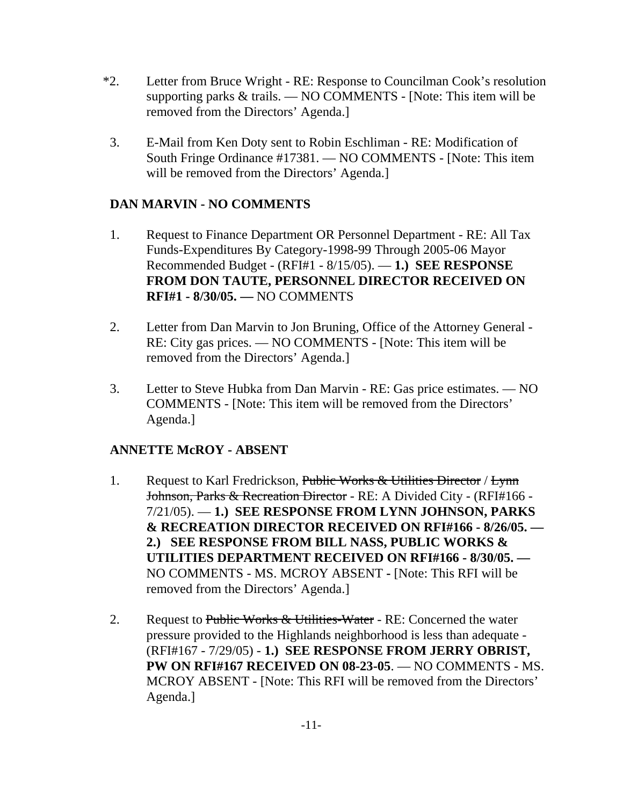- \*2. Letter from Bruce Wright RE: Response to Councilman Cook's resolution supporting parks & trails. — NO COMMENTS - [Note: This item will be removed from the Directors' Agenda.]
- 3. E-Mail from Ken Doty sent to Robin Eschliman RE: Modification of South Fringe Ordinance #17381. — NO COMMENTS - [Note: This item will be removed from the Directors' Agenda.]

## **DAN MARVIN - NO COMMENTS**

- 1. Request to Finance Department OR Personnel Department RE: All Tax Funds-Expenditures By Category-1998-99 Through 2005-06 Mayor Recommended Budget - (RFI#1 - 8/15/05). — **1.) SEE RESPONSE FROM DON TAUTE, PERSONNEL DIRECTOR RECEIVED ON RFI#1 - 8/30/05. —** NO COMMENTS
- 2. Letter from Dan Marvin to Jon Bruning, Office of the Attorney General RE: City gas prices. — NO COMMENTS - [Note: This item will be removed from the Directors' Agenda.]
- 3. Letter to Steve Hubka from Dan Marvin RE: Gas price estimates. NO COMMENTS - [Note: This item will be removed from the Directors' Agenda.]

## **ANNETTE McROY - ABSENT**

- 1. Request to Karl Fredrickson, Public Works & Utilities Director / Lynn Johnson, Parks & Recreation Director - RE: A Divided City - (RFI#166 - 7/21/05). — **1.) SEE RESPONSE FROM LYNN JOHNSON, PARKS & RECREATION DIRECTOR RECEIVED ON RFI#166 - 8/26/05. — 2.) SEE RESPONSE FROM BILL NASS, PUBLIC WORKS & UTILITIES DEPARTMENT RECEIVED ON RFI#166 - 8/30/05. —** NO COMMENTS - MS. MCROY ABSENT **-** [Note: This RFI will be removed from the Directors' Agenda.]
- 2. Request to Public Works  $&$  Utilities-Water RE: Concerned the water pressure provided to the Highlands neighborhood is less than adequate - (RFI#167 - 7/29/05) - **1.) SEE RESPONSE FROM JERRY OBRIST, PW ON RFI#167 RECEIVED ON 08-23-05**. — NO COMMENTS - MS. MCROY ABSENT - [Note: This RFI will be removed from the Directors' Agenda.]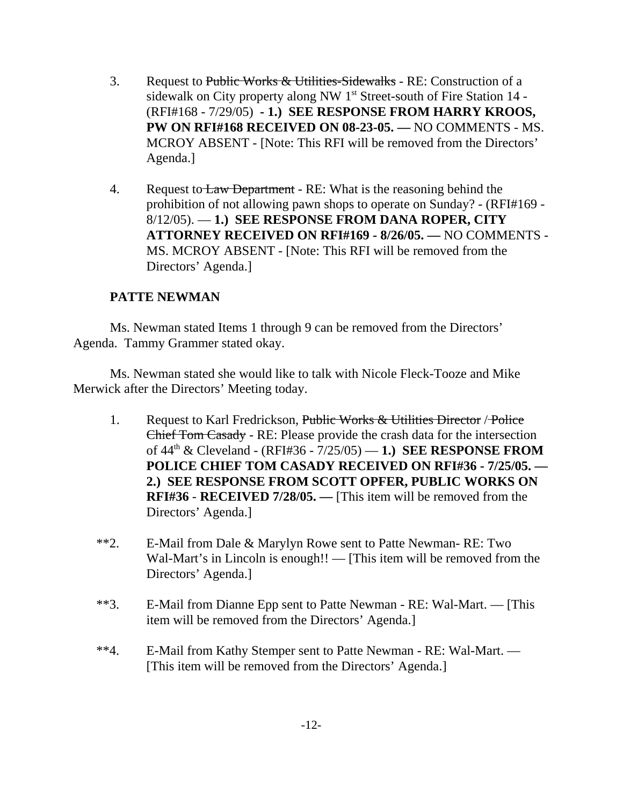- 3. Request to Public Works & Utilities-Sidewalks RE: Construction of a sidewalk on City property along NW 1<sup>st</sup> Street-south of Fire Station 14 -(RFI#168 - 7/29/05) **- 1.) SEE RESPONSE FROM HARRY KROOS, PW ON RFI#168 RECEIVED ON 08-23-05. —** NO COMMENTS - MS. MCROY ABSENT - [Note: This RFI will be removed from the Directors' Agenda.]
- 4. Request to Law Department RE: What is the reasoning behind the prohibition of not allowing pawn shops to operate on Sunday? - (RFI#169 - 8/12/05). — **1.) SEE RESPONSE FROM DANA ROPER, CITY ATTORNEY RECEIVED ON RFI#169 - 8/26/05. —** NO COMMENTS - MS. MCROY ABSENT - [Note: This RFI will be removed from the Directors' Agenda.]

### **PATTE NEWMAN**

Ms. Newman stated Items 1 through 9 can be removed from the Directors' Agenda. Tammy Grammer stated okay.

Ms. Newman stated she would like to talk with Nicole Fleck-Tooze and Mike Merwick after the Directors' Meeting today.

- 1. Request to Karl Fredrickson, Public Works & Utilities Director / Police Chief Tom Casady - RE: Please provide the crash data for the intersection of 44th & Cleveland - (RFI#36 - 7/25/05) — **1.) SEE RESPONSE FROM POLICE CHIEF TOM CASADY RECEIVED ON RFI#36 - 7/25/05. — 2.) SEE RESPONSE FROM SCOTT OPFER, PUBLIC WORKS ON RFI#36** - **RECEIVED 7/28/05. —** [This item will be removed from the Directors' Agenda.]
- \*\*2. E-Mail from Dale & Marylyn Rowe sent to Patte Newman- RE: Two Wal-Mart's in Lincoln is enough!! — [This item will be removed from the Directors' Agenda.]
- \*\*3. E-Mail from Dianne Epp sent to Patte Newman RE: Wal-Mart. [This item will be removed from the Directors' Agenda.]
- \*\*4. E-Mail from Kathy Stemper sent to Patte Newman RE: Wal-Mart. [This item will be removed from the Directors' Agenda.]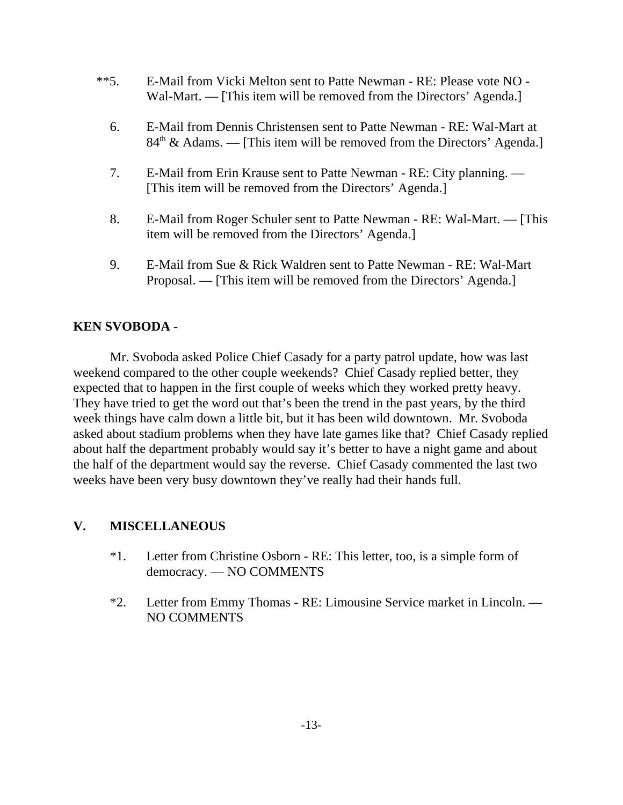- \*\*5. E-Mail from Vicki Melton sent to Patte Newman RE: Please vote NO Wal-Mart. — [This item will be removed from the Directors' Agenda.]
	- 6. E-Mail from Dennis Christensen sent to Patte Newman RE: Wal-Mart at  $84<sup>th</sup>$  & Adams. — [This item will be removed from the Directors' Agenda.]
	- 7. E-Mail from Erin Krause sent to Patte Newman RE: City planning. [This item will be removed from the Directors' Agenda.]
	- 8. E-Mail from Roger Schuler sent to Patte Newman RE: Wal-Mart. [This item will be removed from the Directors' Agenda.]
	- 9. E-Mail from Sue & Rick Waldren sent to Patte Newman RE: Wal-Mart Proposal. — [This item will be removed from the Directors' Agenda.]

## **KEN SVOBODA** -

Mr. Svoboda asked Police Chief Casady for a party patrol update, how was last weekend compared to the other couple weekends? Chief Casady replied better, they expected that to happen in the first couple of weeks which they worked pretty heavy. They have tried to get the word out that's been the trend in the past years, by the third week things have calm down a little bit, but it has been wild downtown. Mr. Svoboda asked about stadium problems when they have late games like that? Chief Casady replied about half the department probably would say it's better to have a night game and about the half of the department would say the reverse. Chief Casady commented the last two weeks have been very busy downtown they've really had their hands full.

### **V. MISCELLANEOUS**

- \*1. Letter from Christine Osborn RE: This letter, too, is a simple form of democracy. — NO COMMENTS
- \*2. Letter from Emmy Thomas RE: Limousine Service market in Lincoln. NO COMMENTS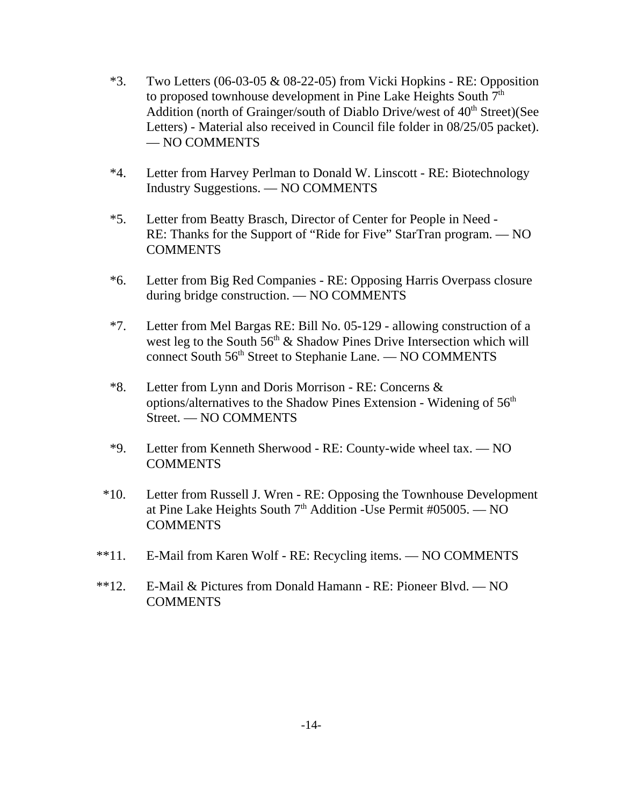- $*3.$  Two Letters (06-03-05 & 08-22-05) from Vicki Hopkins RE: Opposition to proposed townhouse development in Pine Lake Heights South 7<sup>th</sup> Addition (north of Grainger/south of Diablo Drive/west of  $40<sup>th</sup>$  Street)(See Letters) - Material also received in Council file folder in 08/25/05 packet). — NO COMMENTS
- \*4. Letter from Harvey Perlman to Donald W. Linscott RE: Biotechnology Industry Suggestions. — NO COMMENTS
- \*5. Letter from Beatty Brasch, Director of Center for People in Need RE: Thanks for the Support of "Ride for Five" StarTran program. — NO **COMMENTS**
- \*6. Letter from Big Red Companies RE: Opposing Harris Overpass closure during bridge construction. — NO COMMENTS
- \*7. Letter from Mel Bargas RE: Bill No. 05-129 allowing construction of a west leg to the South  $56<sup>th</sup>$  & Shadow Pines Drive Intersection which will connect South 56<sup>th</sup> Street to Stephanie Lane. — NO COMMENTS
- \*8. Letter from Lynn and Doris Morrison RE: Concerns & options/alternatives to the Shadow Pines Extension - Widening of  $56<sup>th</sup>$ Street. — NO COMMENTS
- \*9. Letter from Kenneth Sherwood RE: County-wide wheel tax. NO COMMENTS
- \*10. Letter from Russell J. Wren RE: Opposing the Townhouse Development at Pine Lake Heights South  $7<sup>th</sup>$  Addition -Use Permit #05005. — NO COMMENTS
- \*\*11. E-Mail from Karen Wolf RE: Recycling items. NO COMMENTS
- \*\*12. E-Mail & Pictures from Donald Hamann RE: Pioneer Blvd. NO **COMMENTS**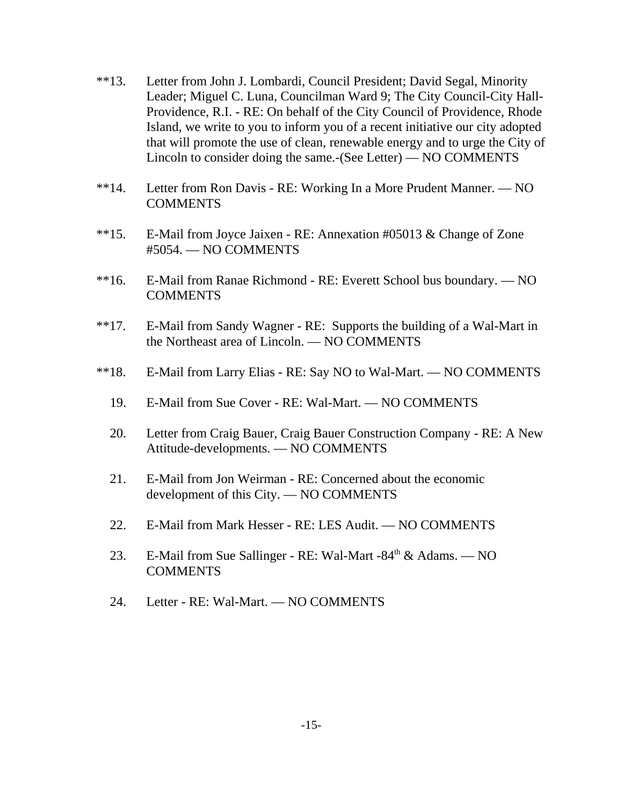- \*\*13. Letter from John J. Lombardi, Council President; David Segal, Minority Leader; Miguel C. Luna, Councilman Ward 9; The City Council-City Hall-Providence, R.I. - RE: On behalf of the City Council of Providence, Rhode Island, we write to you to inform you of a recent initiative our city adopted that will promote the use of clean, renewable energy and to urge the City of Lincoln to consider doing the same.-(See Letter) — NO COMMENTS
- \*\*14. Letter from Ron Davis RE: Working In a More Prudent Manner. NO COMMENTS
- \*\*15. E-Mail from Joyce Jaixen RE: Annexation #05013 & Change of Zone #5054. — NO COMMENTS
- \*\*16. E-Mail from Ranae Richmond RE: Everett School bus boundary. NO COMMENTS
- \*\*17. E-Mail from Sandy Wagner RE: Supports the building of a Wal-Mart in the Northeast area of Lincoln. — NO COMMENTS
- \*\*18. E-Mail from Larry Elias RE: Say NO to Wal-Mart. NO COMMENTS
	- 19. E-Mail from Sue Cover RE: Wal-Mart. NO COMMENTS
	- 20. Letter from Craig Bauer, Craig Bauer Construction Company RE: A New Attitude-developments. — NO COMMENTS
	- 21. E-Mail from Jon Weirman RE: Concerned about the economic development of this City. — NO COMMENTS
	- 22. E-Mail from Mark Hesser RE: LES Audit. NO COMMENTS
	- 23. E-Mail from Sue Sallinger RE: Wal-Mart -84<sup>th</sup> & Adams. NO **COMMENTS**
	- 24. Letter RE: Wal-Mart. NO COMMENTS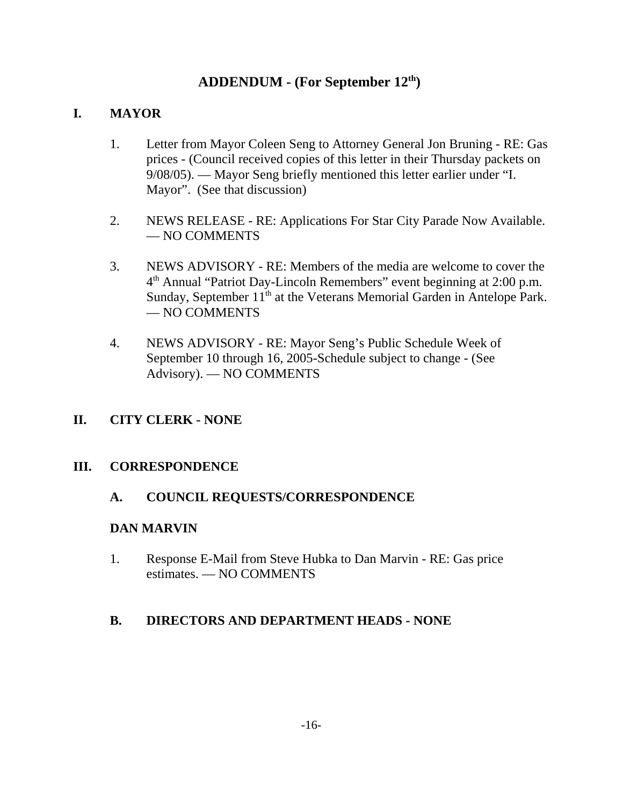# **ADDENDUM - (For September 12th)**

## **I. MAYOR**

- 1. Letter from Mayor Coleen Seng to Attorney General Jon Bruning RE: Gas prices - (Council received copies of this letter in their Thursday packets on 9/08/05). — Mayor Seng briefly mentioned this letter earlier under "I. Mayor". (See that discussion)
- 2. NEWS RELEASE RE: Applications For Star City Parade Now Available. — NO COMMENTS
- 3. NEWS ADVISORY RE: Members of the media are welcome to cover the 4th Annual "Patriot Day-Lincoln Remembers" event beginning at 2:00 p.m. Sunday, September 11<sup>th</sup> at the Veterans Memorial Garden in Antelope Park. — NO COMMENTS
- 4. NEWS ADVISORY RE: Mayor Seng's Public Schedule Week of September 10 through 16, 2005-Schedule subject to change - (See Advisory). — NO COMMENTS

## **II. CITY CLERK - NONE**

#### **III. CORRESPONDENCE**

#### **A. COUNCIL REQUESTS/CORRESPONDENCE**

#### **DAN MARVIN**

1. Response E-Mail from Steve Hubka to Dan Marvin - RE: Gas price estimates. — NO COMMENTS

### **B. DIRECTORS AND DEPARTMENT HEADS - NONE**